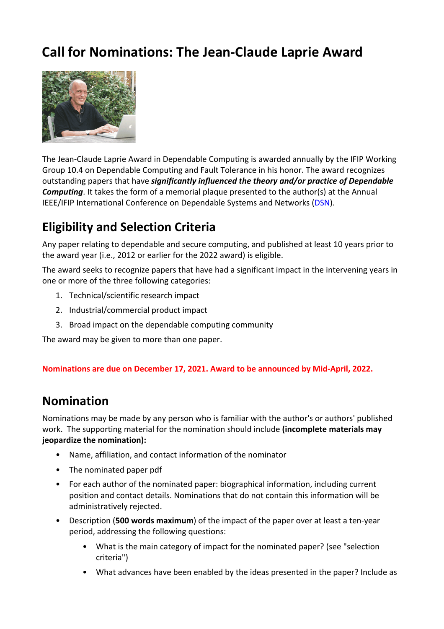# **Call for Nominations: The Jean-Claude Laprie Award**



The Jean-Claude Laprie Award in Dependable Computing is awarded annually by the IFIP Working Group 10.4 on Dependable Computing and Fault Tolerance in his honor. The award recognizes outstanding papers that have *significantly influenced the theory and/or practice of Dependable Computing*. It takes the form of a memorial plaque presented to the author(s) at the Annual IEEE/IFIP International Conference on Dependable Systems and Networks (DSN).

## **Eligibility and Selection Criteria**

Any paper relating to dependable and secure computing, and published at least 10 years prior to the award year (i.e., 2012 or earlier for the 2022 award) is eligible.

The award seeks to recognize papers that have had a significant impact in the intervening years in one or more of the three following categories:

- 1. Technical/scientific research impact
- 2. Industrial/commercial product impact
- 3. Broad impact on the dependable computing community

The award may be given to more than one paper.

**Nominations are due on December 17, 2021. Award to be announced by Mid-April, 2022.** 

#### **Nomination**

Nominations may be made by any person who is familiar with the author's or authors' published work. The supporting material for the nomination should include **(incomplete materials may jeopardize the nomination):**

- Name, affiliation, and contact information of the nominator
- The nominated paper pdf
- For each author of the nominated paper: biographical information, including current position and contact details. Nominations that do not contain this information will be administratively rejected.
- Description (**500 words maximum**) of the impact of the paper over at least a ten-year period, addressing the following questions:
	- What is the main category of impact for the nominated paper? (see "selection criteria")
	- What advances have been enabled by the ideas presented in the paper? Include as